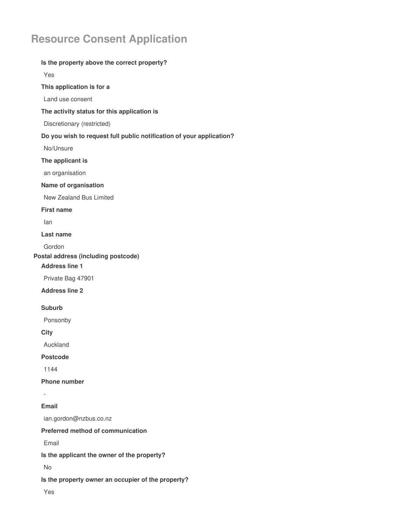# **Resource Consent Application**

# **Is the property above the correct property?** Yes **This application is for a** Land use consent **The activity status for this application is** Discretionary (restricted) **Do you wish to request full public notification of your application?** No/Unsure **The applicant is** an organisation **Name of organisation** New Zealand Bus Limited **First name** Ian **Last name** Gordon **Postal address (including postcode) Address line 1** Private Bag 47901 **Address line 2 Suburb** Ponsonby **City** Auckland **Postcode** 1144 **Phone number** - **Email** ian.gordon@nzbus.co.nz **Preferred method of communication** Email **Is the applicant the owner of the property?** No **Is the property owner an occupier of the property?** Yes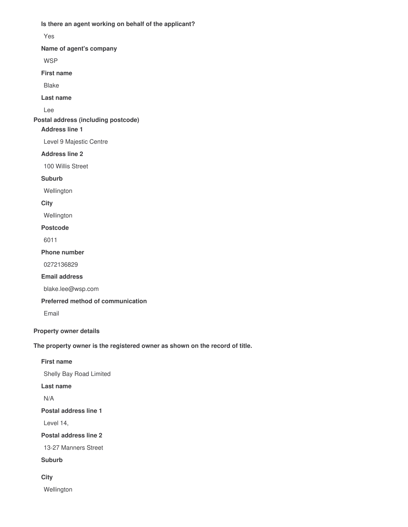**Is there an agent working on behalf of the applicant?**

Yes

**Name of agent's company**

WSP

**First name**

Blake

**Last name**

Lee

**Postal address (including postcode)**

## **Address line 1**

Level 9 Majestic Centre

**Address line 2**

100 Willis Street

**Suburb**

Wellington

**City**

**Wellington** 

#### **Postcode**

6011

**Phone number**

0272136829

**Email address**

blake.lee@wsp.com

**Preferred method of communication**

Email

**Property owner details**

**The property owner is the registered owner as shown on the record of title.**

## **First name**

Shelly Bay Road Limited

**Last name**

N/A

**Postal address line 1**

Level 14,

**Postal address line 2**

13-27 Manners Street

**Suburb**

**City**

**Wellington**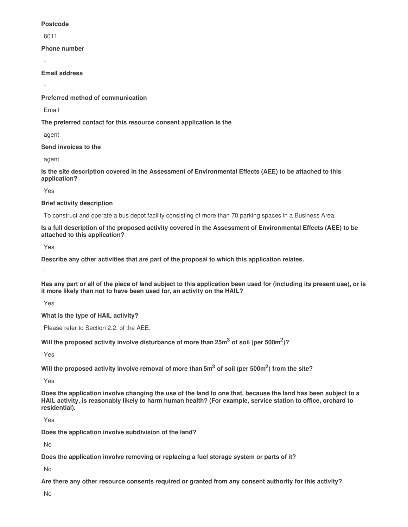#### **Postcode**

6011

**Phone number**

-

**Email address**

-

**Preferred method of communication**

Email

**The preferred contact for this resource consent application is the**

agent

**Send invoices to the**

agent

**Is the site description covered in the Assessment of Environmental Effects (AEE) to be attached to this application?**

Yes

**Brief activity description**

To construct and operate a bus depot facility consisting of more than 70 parking spaces in a Business Area.

Is a full description of the proposed activity covered in the Assessment of Environmental Effects (AEE) to be **attached to this application?**

Yes

**Describe any other activities that are part of the proposal to which this application relates.**

-

Has any part or all of the piece of land subject to this application been used for (including its present use), or is **it more likely than not to have been used for, an activity on the HAIL?**

Yes

**What is the type of HAIL activity?**

Please refer to Section 2.2. of the AEE.

**Will the proposed activity involve disturbance of more than 25m<sup>3</sup> of soil (per 500m<sup>2</sup> )?**

Yes

Will the proposed activity involve removal of more than 5 $\mathrm{m}^{3}$  of soil (per 500 $\mathrm{m}^{2}$ ) from the site?

Yes

Does the application involve changing the use of the land to one that, because the land has been subject to a HAIL activity, is reasonably likely to harm human health? (For example, service station to office, orchard to **residential).**

Yes

**Does the application involve subdivision of the land?**

No

**Does the application involve removing or replacing a fuel storage system or parts of it?**

No

**Are there any other resource consents required or granted from any consent authority for this activity?**

No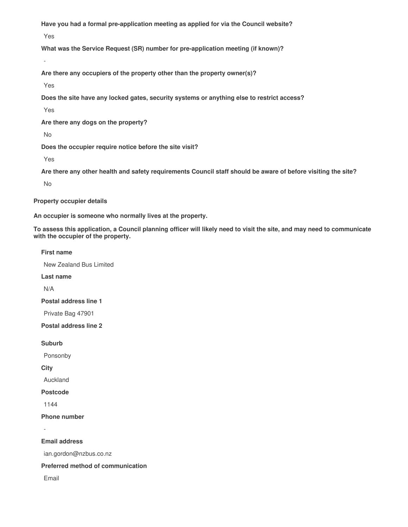**Have you had a formal pre-application meeting as applied for via the Council website?**

Yes

**What was the Service Request (SR) number for pre-application meeting (if known)?**

**Are there any occupiers of the property other than the property owner(s)?**

Yes

-

**Does the site have any locked gates, security systems or anything else to restrict access?**

Yes

**Are there any dogs on the property?**

No

**Does the occupier require notice before the site visit?**

Yes

Are there any other health and safety requirements Council staff should be aware of before visiting the site?

No

**Property occupier details**

**An occupier is someone who normally lives at the property.**

To assess this application, a Council planning officer will likely need to visit the site, and may need to communicate **with the occupier of the property.**

#### **First name**

New Zealand Bus Limited

**Last name**

N/A

**Postal address line 1**

Private Bag 47901

**Postal address line 2**

**Suburb**

Ponsonby

**City**

Auckland

**Postcode**

1144

**Phone number**

-

**Email address**

ian.gordon@nzbus.co.nz

**Preferred method of communication**

Email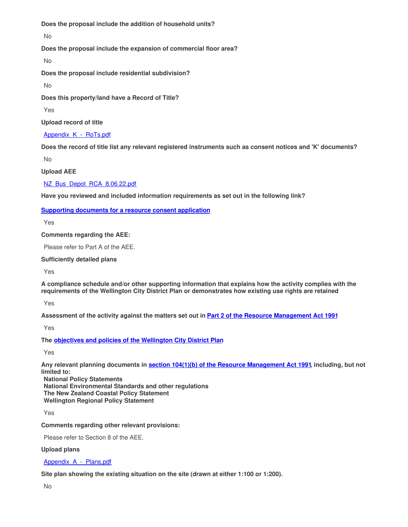**Does the proposal include the addition of household units?**

No

**Does the proposal include the expansion of commercial floor area?**

No

**Does the proposal include residential subdivision?**

No

**Does this property/land have a Record of Title?**

Yes

**Upload record of title**

Appendix K - RoTs.pdf

Does the record of title list any relevant registered instruments such as consent notices and 'K' documents?

No

**Upload AEE**

[NZ\\_Bus\\_Depot\\_RCA\\_8.06.22.pdf](https://surveygizmoresponseuploads.s3.amazonaws.com/fileuploads/187251/5322230/27-decc3902a059f925ca9e1304e5c96447_NZ_Bus_Depot_RCA_8.06.22.pdf)

**Have you reviewed and included information requirements as set out in the following link?**

# **Supporting [documents](https://wellington.govt.nz/property-rates-and-building/building-and-resource-consents/resource-consents/applying-for-a-resource-consent/supporting-documents-for-a-resource-consent-application) for a resource consent application**

Yes

**Comments regarding the AEE:**

Please refer to Part A of the AEE.

## **Sufficiently detailed plans**

Yes

**A compliance schedule and/or other supporting information that explains how the activity complies with the requirements of the Wellington City District Plan or demonstrates how existing use rights are retained**

Yes

Assessment of the activity against the matters set out in Part 2 of the Resource [Management](http://www.legislation.govt.nz/act/public/1991/0069/latest/DLM231905.html) Act 1991

Yes

**The objectives and policies of the [Wellington](https://wellington.govt.nz/your-council/plans-policies-and-bylaws/district-plan/district-plan-pdfs/volume-1) City District Plan.**

Yes

**Any relevant planning documents in section 104(1)(b) of the Resource [Management](http://www.legislation.govt.nz/act/public/1991/0069/latest/DLM234355.html) Act 1991, including, but not limited to:**

**National Policy Statements National Environmental Standards and other regulations The New Zealand Coastal Policy Statement Wellington Regional Policy Statement**

Yes

**Comments regarding other relevant provisions:**

Please refer to Section 8 of the AEE.

**Upload plans**

Appendix A - Plans.pdf

**Site plan showing the existing situation on the site (drawn at either 1:100 or 1:200).**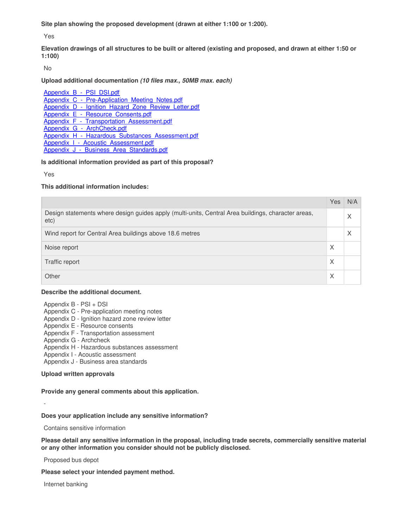**Site plan showing the proposed development (drawn at either 1:100 or 1:200).**

Yes

Elevation drawings of all structures to be built or altered (existing and proposed, and drawn at either 1:50 or **1:100)**

No

#### **Upload additional documentation** *(10 files max., 50MB max. each)*

Appendix B - PSI DSI.pdf Appendix C - Pre-Application Meeting Notes.pdf Appendix D - Ignition Hazard Zone Review Letter.pdf Appendix E - Resource Consents.pdf Appendix F - Transportation Assessment.pdf Appendix G - ArchCheck.pdf [Appendix\\_H\\_-\\_Hazardous\\_Substances\\_Assessment.pdf](https://surveygizmoresponseuploads.s3.amazonaws.com/fileuploads/187251/5322230/158-3f44c9de946af775c583071aaba03fad_Appendix_H_-_Hazardous_Substances_Assessment.pdf) Appendix I - Acoustic Assessment.pdf Appendix J - Business Area Standards.pdf

#### **Is additional information provided as part of this proposal?**

Yes

#### **This additional information includes:**

|                                                                                                            | Yes | N/A |
|------------------------------------------------------------------------------------------------------------|-----|-----|
| Design statements where design guides apply (multi-units, Central Area buildings, character areas,<br>etc) |     | X   |
| Wind report for Central Area buildings above 18.6 metres                                                   |     | X   |
| Noise report                                                                                               | X   |     |
| Traffic report                                                                                             | X   |     |
| Other                                                                                                      | X   |     |

#### **Describe the additional document.**

Appendix B - PSI + DSI

- Appendix C Pre-application meeting notes
- Appendix D Ignition hazard zone review letter
- Appendix E Resource consents
- Appendix F Transportation assessment
- Appendix G Archcheck
- Appendix H Hazardous substances assessment
- Appendix I Acoustic assessment
- Appendix J Business area standards

#### **Upload written approvals**

## **Provide any general comments about this application.**

## **Does your application include any sensitive information?**

Contains sensitive information

**Please detail any sensitive information in the proposal, including trade secrets, commercially sensitive material or any other information you consider should not be publicly disclosed.**

Proposed bus depot

**Please select your intended payment method.**

Internet banking

-